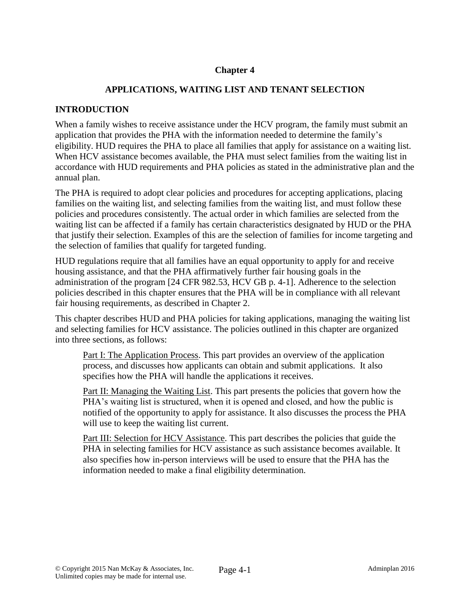# **Chapter 4**

## **APPLICATIONS, WAITING LIST AND TENANT SELECTION**

## **INTRODUCTION**

When a family wishes to receive assistance under the HCV program, the family must submit an application that provides the PHA with the information needed to determine the family's eligibility. HUD requires the PHA to place all families that apply for assistance on a waiting list. When HCV assistance becomes available, the PHA must select families from the waiting list in accordance with HUD requirements and PHA policies as stated in the administrative plan and the annual plan.

The PHA is required to adopt clear policies and procedures for accepting applications, placing families on the waiting list, and selecting families from the waiting list, and must follow these policies and procedures consistently. The actual order in which families are selected from the waiting list can be affected if a family has certain characteristics designated by HUD or the PHA that justify their selection. Examples of this are the selection of families for income targeting and the selection of families that qualify for targeted funding.

HUD regulations require that all families have an equal opportunity to apply for and receive housing assistance, and that the PHA affirmatively further fair housing goals in the administration of the program [24 CFR 982.53, HCV GB p. 4-1]. Adherence to the selection policies described in this chapter ensures that the PHA will be in compliance with all relevant fair housing requirements, as described in Chapter 2.

This chapter describes HUD and PHA policies for taking applications, managing the waiting list and selecting families for HCV assistance. The policies outlined in this chapter are organized into three sections, as follows:

Part I: The Application Process. This part provides an overview of the application process, and discusses how applicants can obtain and submit applications. It also specifies how the PHA will handle the applications it receives.

Part II: Managing the Waiting List. This part presents the policies that govern how the PHA's waiting list is structured, when it is opened and closed, and how the public is notified of the opportunity to apply for assistance. It also discusses the process the PHA will use to keep the waiting list current.

Part III: Selection for HCV Assistance. This part describes the policies that guide the PHA in selecting families for HCV assistance as such assistance becomes available. It also specifies how in-person interviews will be used to ensure that the PHA has the information needed to make a final eligibility determination.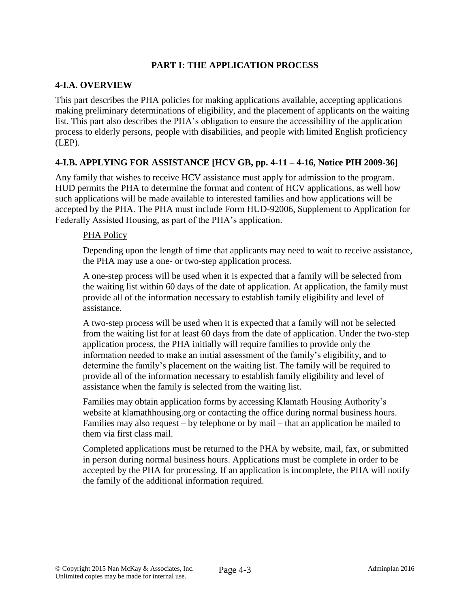# **PART I: THE APPLICATION PROCESS**

### **4-I.A. OVERVIEW**

This part describes the PHA policies for making applications available, accepting applications making preliminary determinations of eligibility, and the placement of applicants on the waiting list. This part also describes the PHA's obligation to ensure the accessibility of the application process to elderly persons, people with disabilities, and people with limited English proficiency (LEP).

## **4-I.B. APPLYING FOR ASSISTANCE [HCV GB, pp. 4-11 – 4-16, Notice PIH 2009-36]**

Any family that wishes to receive HCV assistance must apply for admission to the program. HUD permits the PHA to determine the format and content of HCV applications, as well how such applications will be made available to interested families and how applications will be accepted by the PHA. The PHA must include Form HUD-92006, Supplement to Application for Federally Assisted Housing, as part of the PHA's application.

### PHA Policy

Depending upon the length of time that applicants may need to wait to receive assistance, the PHA may use a one- or two-step application process.

A one-step process will be used when it is expected that a family will be selected from the waiting list within 60 days of the date of application. At application, the family must provide all of the information necessary to establish family eligibility and level of assistance.

A two-step process will be used when it is expected that a family will not be selected from the waiting list for at least 60 days from the date of application. Under the two-step application process, the PHA initially will require families to provide only the information needed to make an initial assessment of the family's eligibility, and to determine the family's placement on the waiting list. The family will be required to provide all of the information necessary to establish family eligibility and level of assistance when the family is selected from the waiting list.

Families may obtain application forms by accessing Klamath Housing Authority's website at klamathhousing.org or contacting the office during normal business hours. Families may also request – by telephone or by mail – that an application be mailed to them via first class mail.

Completed applications must be returned to the PHA by website, mail, fax, or submitted in person during normal business hours. Applications must be complete in order to be accepted by the PHA for processing. If an application is incomplete, the PHA will notify the family of the additional information required.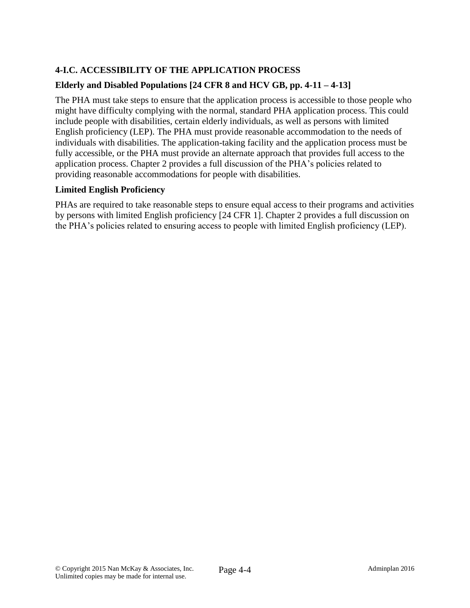# **4-I.C. ACCESSIBILITY OF THE APPLICATION PROCESS**

# **Elderly and Disabled Populations [24 CFR 8 and HCV GB, pp. 4-11 – 4-13]**

The PHA must take steps to ensure that the application process is accessible to those people who might have difficulty complying with the normal, standard PHA application process. This could include people with disabilities, certain elderly individuals, as well as persons with limited English proficiency (LEP). The PHA must provide reasonable accommodation to the needs of individuals with disabilities. The application-taking facility and the application process must be fully accessible, or the PHA must provide an alternate approach that provides full access to the application process. Chapter 2 provides a full discussion of the PHA's policies related to providing reasonable accommodations for people with disabilities.

# **Limited English Proficiency**

PHAs are required to take reasonable steps to ensure equal access to their programs and activities by persons with limited English proficiency [24 CFR 1]. Chapter 2 provides a full discussion on the PHA's policies related to ensuring access to people with limited English proficiency (LEP).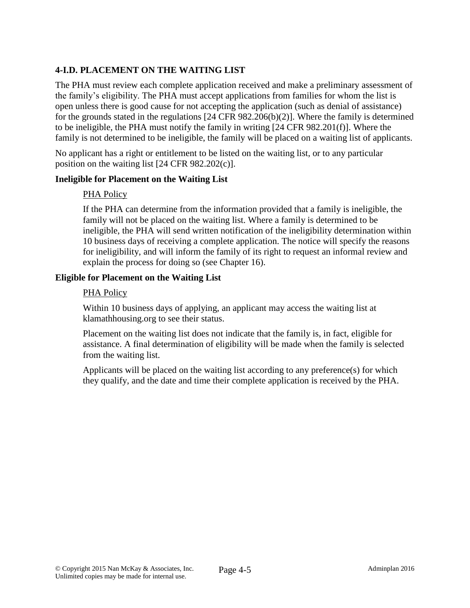# **4-I.D. PLACEMENT ON THE WAITING LIST**

The PHA must review each complete application received and make a preliminary assessment of the family's eligibility. The PHA must accept applications from families for whom the list is open unless there is good cause for not accepting the application (such as denial of assistance) for the grounds stated in the regulations [24 CFR 982.206(b)(2)]. Where the family is determined to be ineligible, the PHA must notify the family in writing [24 CFR 982.201(f)]. Where the family is not determined to be ineligible, the family will be placed on a waiting list of applicants.

No applicant has a right or entitlement to be listed on the waiting list, or to any particular position on the waiting list [24 CFR 982.202(c)].

### **Ineligible for Placement on the Waiting List**

### PHA Policy

If the PHA can determine from the information provided that a family is ineligible, the family will not be placed on the waiting list. Where a family is determined to be ineligible, the PHA will send written notification of the ineligibility determination within 10 business days of receiving a complete application. The notice will specify the reasons for ineligibility, and will inform the family of its right to request an informal review and explain the process for doing so (see Chapter 16).

### **Eligible for Placement on the Waiting List**

### PHA Policy

Within 10 business days of applying, an applicant may access the waiting list at klamathhousing.org to see their status.

Placement on the waiting list does not indicate that the family is, in fact, eligible for assistance. A final determination of eligibility will be made when the family is selected from the waiting list.

Applicants will be placed on the waiting list according to any preference(s) for which they qualify, and the date and time their complete application is received by the PHA.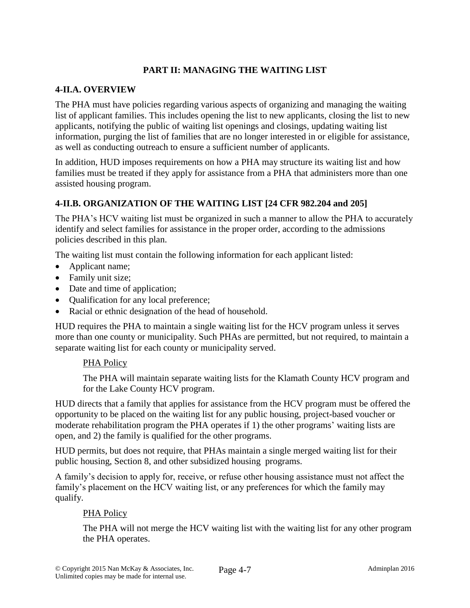# **PART II: MANAGING THE WAITING LIST**

## **4-II.A. OVERVIEW**

The PHA must have policies regarding various aspects of organizing and managing the waiting list of applicant families. This includes opening the list to new applicants, closing the list to new applicants, notifying the public of waiting list openings and closings, updating waiting list information, purging the list of families that are no longer interested in or eligible for assistance, as well as conducting outreach to ensure a sufficient number of applicants.

In addition, HUD imposes requirements on how a PHA may structure its waiting list and how families must be treated if they apply for assistance from a PHA that administers more than one assisted housing program.

## **4-II.B. ORGANIZATION OF THE WAITING LIST [24 CFR 982.204 and 205]**

The PHA's HCV waiting list must be organized in such a manner to allow the PHA to accurately identify and select families for assistance in the proper order, according to the admissions policies described in this plan.

The waiting list must contain the following information for each applicant listed:

- Applicant name;
- Family unit size;
- Date and time of application;
- Qualification for any local preference;
- Racial or ethnic designation of the head of household.

HUD requires the PHA to maintain a single waiting list for the HCV program unless it serves more than one county or municipality. Such PHAs are permitted, but not required, to maintain a separate waiting list for each county or municipality served.

#### PHA Policy

The PHA will maintain separate waiting lists for the Klamath County HCV program and for the Lake County HCV program.

HUD directs that a family that applies for assistance from the HCV program must be offered the opportunity to be placed on the waiting list for any public housing, project-based voucher or moderate rehabilitation program the PHA operates if 1) the other programs' waiting lists are open, and 2) the family is qualified for the other programs.

HUD permits, but does not require, that PHAs maintain a single merged waiting list for their public housing, Section 8, and other subsidized housing programs.

A family's decision to apply for, receive, or refuse other housing assistance must not affect the family's placement on the HCV waiting list, or any preferences for which the family may qualify.

## PHA Policy

The PHA will not merge the HCV waiting list with the waiting list for any other program the PHA operates.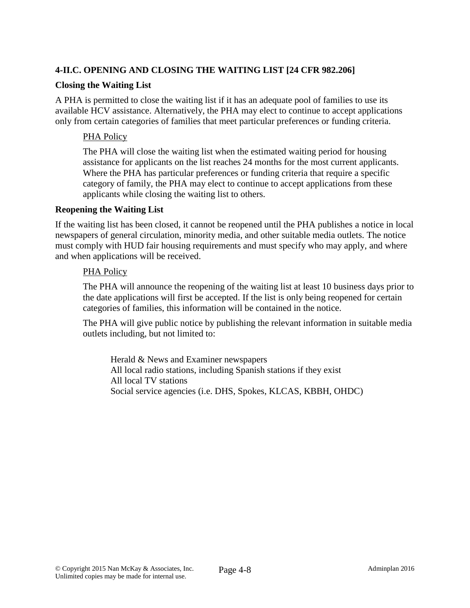# **4-II.C. OPENING AND CLOSING THE WAITING LIST [24 CFR 982.206]**

### **Closing the Waiting List**

A PHA is permitted to close the waiting list if it has an adequate pool of families to use its available HCV assistance. Alternatively, the PHA may elect to continue to accept applications only from certain categories of families that meet particular preferences or funding criteria.

## PHA Policy

The PHA will close the waiting list when the estimated waiting period for housing assistance for applicants on the list reaches 24 months for the most current applicants. Where the PHA has particular preferences or funding criteria that require a specific category of family, the PHA may elect to continue to accept applications from these applicants while closing the waiting list to others.

#### **Reopening the Waiting List**

If the waiting list has been closed, it cannot be reopened until the PHA publishes a notice in local newspapers of general circulation, minority media, and other suitable media outlets. The notice must comply with HUD fair housing requirements and must specify who may apply, and where and when applications will be received.

#### PHA Policy

The PHA will announce the reopening of the waiting list at least 10 business days prior to the date applications will first be accepted. If the list is only being reopened for certain categories of families, this information will be contained in the notice.

The PHA will give public notice by publishing the relevant information in suitable media outlets including, but not limited to:

Herald & News and Examiner newspapers All local radio stations, including Spanish stations if they exist All local TV stations Social service agencies (i.e. DHS, Spokes, KLCAS, KBBH, OHDC)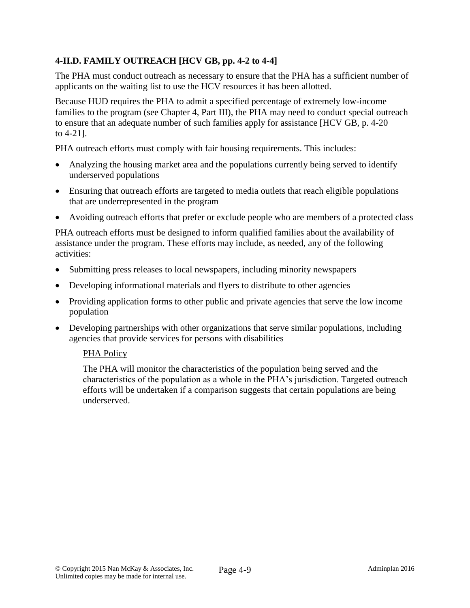# **4-II.D. FAMILY OUTREACH [HCV GB, pp. 4-2 to 4-4]**

The PHA must conduct outreach as necessary to ensure that the PHA has a sufficient number of applicants on the waiting list to use the HCV resources it has been allotted.

Because HUD requires the PHA to admit a specified percentage of extremely low-income families to the program (see Chapter 4, Part III), the PHA may need to conduct special outreach to ensure that an adequate number of such families apply for assistance [HCV GB, p. 4-20 to 4-21].

PHA outreach efforts must comply with fair housing requirements. This includes:

- Analyzing the housing market area and the populations currently being served to identify underserved populations
- Ensuring that outreach efforts are targeted to media outlets that reach eligible populations that are underrepresented in the program
- Avoiding outreach efforts that prefer or exclude people who are members of a protected class

PHA outreach efforts must be designed to inform qualified families about the availability of assistance under the program. These efforts may include, as needed, any of the following activities:

- Submitting press releases to local newspapers, including minority newspapers
- Developing informational materials and flyers to distribute to other agencies
- Providing application forms to other public and private agencies that serve the low income population
- Developing partnerships with other organizations that serve similar populations, including agencies that provide services for persons with disabilities

#### PHA Policy

The PHA will monitor the characteristics of the population being served and the characteristics of the population as a whole in the PHA's jurisdiction. Targeted outreach efforts will be undertaken if a comparison suggests that certain populations are being underserved.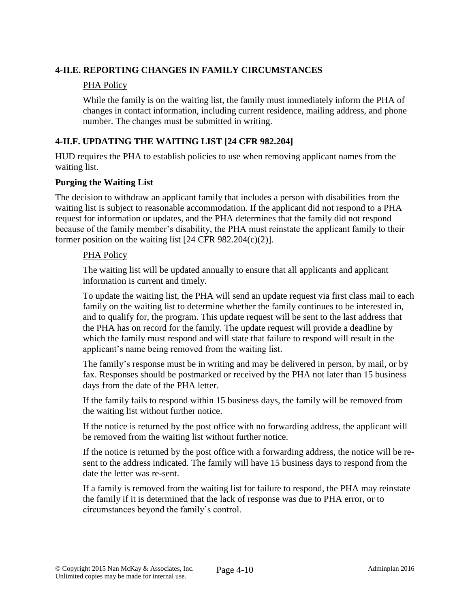## **4-II.E. REPORTING CHANGES IN FAMILY CIRCUMSTANCES**

### PHA Policy

While the family is on the waiting list, the family must immediately inform the PHA of changes in contact information, including current residence, mailing address, and phone number. The changes must be submitted in writing.

# **4-II.F. UPDATING THE WAITING LIST [24 CFR 982.204]**

HUD requires the PHA to establish policies to use when removing applicant names from the waiting list.

### **Purging the Waiting List**

The decision to withdraw an applicant family that includes a person with disabilities from the waiting list is subject to reasonable accommodation. If the applicant did not respond to a PHA request for information or updates, and the PHA determines that the family did not respond because of the family member's disability, the PHA must reinstate the applicant family to their former position on the waiting list [24 CFR 982.204(c)(2)].

#### PHA Policy

The waiting list will be updated annually to ensure that all applicants and applicant information is current and timely.

To update the waiting list, the PHA will send an update request via first class mail to each family on the waiting list to determine whether the family continues to be interested in, and to qualify for, the program. This update request will be sent to the last address that the PHA has on record for the family. The update request will provide a deadline by which the family must respond and will state that failure to respond will result in the applicant's name being removed from the waiting list.

The family's response must be in writing and may be delivered in person, by mail, or by fax. Responses should be postmarked or received by the PHA not later than 15 business days from the date of the PHA letter.

If the family fails to respond within 15 business days, the family will be removed from the waiting list without further notice.

If the notice is returned by the post office with no forwarding address, the applicant will be removed from the waiting list without further notice.

If the notice is returned by the post office with a forwarding address, the notice will be resent to the address indicated. The family will have 15 business days to respond from the date the letter was re-sent.

If a family is removed from the waiting list for failure to respond, the PHA may reinstate the family if it is determined that the lack of response was due to PHA error, or to circumstances beyond the family's control.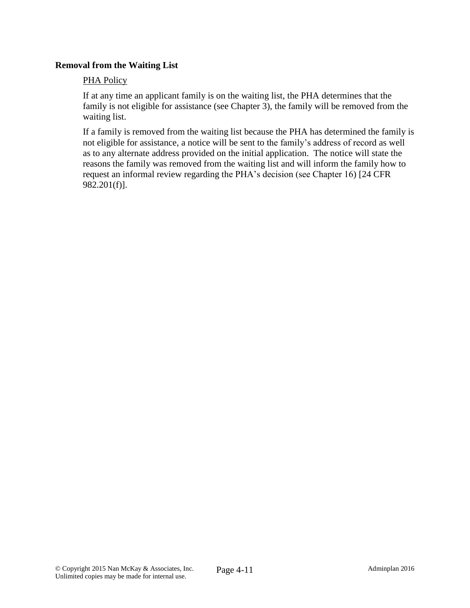## **Removal from the Waiting List**

#### PHA Policy

If at any time an applicant family is on the waiting list, the PHA determines that the family is not eligible for assistance (see Chapter 3), the family will be removed from the waiting list.

If a family is removed from the waiting list because the PHA has determined the family is not eligible for assistance, a notice will be sent to the family's address of record as well as to any alternate address provided on the initial application. The notice will state the reasons the family was removed from the waiting list and will inform the family how to request an informal review regarding the PHA's decision (see Chapter 16) [24 CFR 982.201(f)].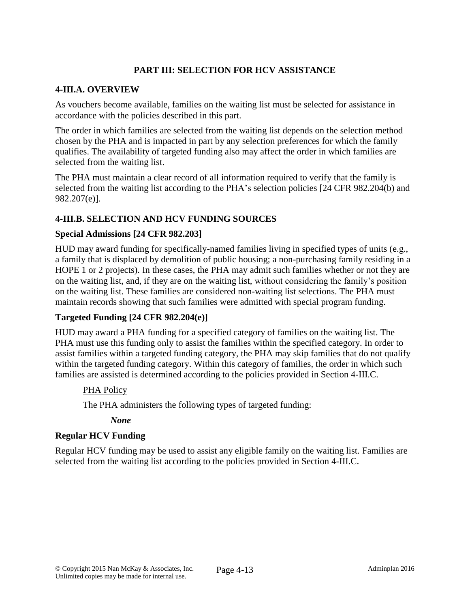# **PART III: SELECTION FOR HCV ASSISTANCE**

## **4-III.A. OVERVIEW**

As vouchers become available, families on the waiting list must be selected for assistance in accordance with the policies described in this part.

The order in which families are selected from the waiting list depends on the selection method chosen by the PHA and is impacted in part by any selection preferences for which the family qualifies. The availability of targeted funding also may affect the order in which families are selected from the waiting list.

The PHA must maintain a clear record of all information required to verify that the family is selected from the waiting list according to the PHA's selection policies [24 CFR 982.204(b) and 982.207(e)].

## **4-III.B. SELECTION AND HCV FUNDING SOURCES**

### **Special Admissions [24 CFR 982.203]**

HUD may award funding for specifically-named families living in specified types of units (e.g., a family that is displaced by demolition of public housing; a non-purchasing family residing in a HOPE 1 or 2 projects). In these cases, the PHA may admit such families whether or not they are on the waiting list, and, if they are on the waiting list, without considering the family's position on the waiting list. These families are considered non-waiting list selections. The PHA must maintain records showing that such families were admitted with special program funding.

## **Targeted Funding [24 CFR 982.204(e)]**

HUD may award a PHA funding for a specified category of families on the waiting list. The PHA must use this funding only to assist the families within the specified category. In order to assist families within a targeted funding category, the PHA may skip families that do not qualify within the targeted funding category. Within this category of families, the order in which such families are assisted is determined according to the policies provided in Section 4-III.C.

#### PHA Policy

The PHA administers the following types of targeted funding:

#### *None*

## **Regular HCV Funding**

Regular HCV funding may be used to assist any eligible family on the waiting list. Families are selected from the waiting list according to the policies provided in Section 4-III.C.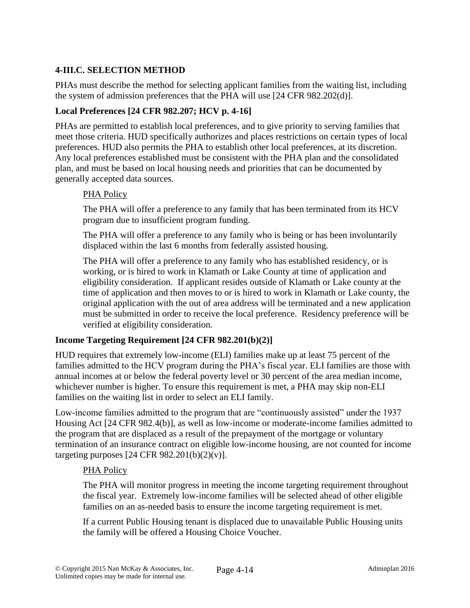# **4-III.C. SELECTION METHOD**

PHAs must describe the method for selecting applicant families from the waiting list, including the system of admission preferences that the PHA will use [24 CFR 982.202(d)].

## **Local Preferences [24 CFR 982.207; HCV p. 4-16]**

PHAs are permitted to establish local preferences, and to give priority to serving families that meet those criteria. HUD specifically authorizes and places restrictions on certain types of local preferences. HUD also permits the PHA to establish other local preferences, at its discretion. Any local preferences established must be consistent with the PHA plan and the consolidated plan, and must be based on local housing needs and priorities that can be documented by generally accepted data sources.

### PHA Policy

The PHA will offer a preference to any family that has been terminated from its HCV program due to insufficient program funding.

The PHA will offer a preference to any family who is being or has been involuntarily displaced within the last 6 months from federally assisted housing.

The PHA will offer a preference to any family who has established residency, or is working, or is hired to work in Klamath or Lake County at time of application and eligibility consideration. If applicant resides outside of Klamath or Lake county at the time of application and then moves to or is hired to work in Klamath or Lake county, the original application with the out of area address will be terminated and a new application must be submitted in order to receive the local preference. Residency preference will be verified at eligibility consideration.

## **Income Targeting Requirement [24 CFR 982.201(b)(2)]**

HUD requires that extremely low-income (ELI) families make up at least 75 percent of the families admitted to the HCV program during the PHA's fiscal year. ELI families are those with annual incomes at or below the federal poverty level or 30 percent of the area median income, whichever number is higher. To ensure this requirement is met, a PHA may skip non-ELI families on the waiting list in order to select an ELI family.

Low-income families admitted to the program that are "continuously assisted" under the 1937 Housing Act [24 CFR 982.4(b)], as well as low-income or moderate-income families admitted to the program that are displaced as a result of the prepayment of the mortgage or voluntary termination of an insurance contract on eligible low-income housing, are not counted for income targeting purposes  $[24 \text{ CFR } 982.201(b)(2)(v)].$ 

## PHA Policy

The PHA will monitor progress in meeting the income targeting requirement throughout the fiscal year. Extremely low-income families will be selected ahead of other eligible families on an as-needed basis to ensure the income targeting requirement is met.

If a current Public Housing tenant is displaced due to unavailable Public Housing units the family will be offered a Housing Choice Voucher.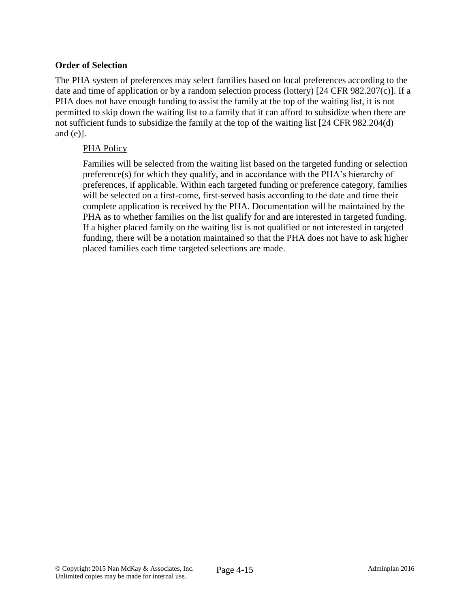## **Order of Selection**

The PHA system of preferences may select families based on local preferences according to the date and time of application or by a random selection process (lottery) [24 CFR 982.207(c)]. If a PHA does not have enough funding to assist the family at the top of the waiting list, it is not permitted to skip down the waiting list to a family that it can afford to subsidize when there are not sufficient funds to subsidize the family at the top of the waiting list [24 CFR 982.204(d) and (e)].

### PHA Policy

Families will be selected from the waiting list based on the targeted funding or selection preference(s) for which they qualify, and in accordance with the PHA's hierarchy of preferences, if applicable. Within each targeted funding or preference category, families will be selected on a first-come, first-served basis according to the date and time their complete application is received by the PHA. Documentation will be maintained by the PHA as to whether families on the list qualify for and are interested in targeted funding. If a higher placed family on the waiting list is not qualified or not interested in targeted funding, there will be a notation maintained so that the PHA does not have to ask higher placed families each time targeted selections are made.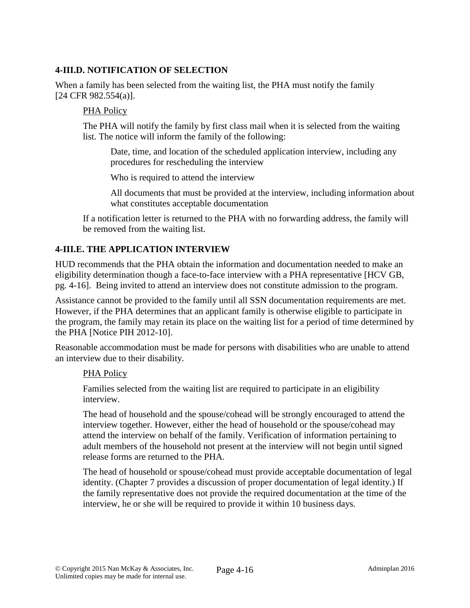## **4-III.D. NOTIFICATION OF SELECTION**

When a family has been selected from the waiting list, the PHA must notify the family [24 CFR 982.554(a)].

#### PHA Policy

The PHA will notify the family by first class mail when it is selected from the waiting list. The notice will inform the family of the following:

Date, time, and location of the scheduled application interview, including any procedures for rescheduling the interview

Who is required to attend the interview

All documents that must be provided at the interview, including information about what constitutes acceptable documentation

If a notification letter is returned to the PHA with no forwarding address, the family will be removed from the waiting list.

## **4-III.E. THE APPLICATION INTERVIEW**

HUD recommends that the PHA obtain the information and documentation needed to make an eligibility determination though a face-to-face interview with a PHA representative [HCV GB, pg. 4-16]. Being invited to attend an interview does not constitute admission to the program.

Assistance cannot be provided to the family until all SSN documentation requirements are met. However, if the PHA determines that an applicant family is otherwise eligible to participate in the program, the family may retain its place on the waiting list for a period of time determined by the PHA [Notice PIH 2012-10].

Reasonable accommodation must be made for persons with disabilities who are unable to attend an interview due to their disability.

#### PHA Policy

Families selected from the waiting list are required to participate in an eligibility interview.

The head of household and the spouse/cohead will be strongly encouraged to attend the interview together. However, either the head of household or the spouse/cohead may attend the interview on behalf of the family. Verification of information pertaining to adult members of the household not present at the interview will not begin until signed release forms are returned to the PHA.

The head of household or spouse/cohead must provide acceptable documentation of legal identity. (Chapter 7 provides a discussion of proper documentation of legal identity.) If the family representative does not provide the required documentation at the time of the interview, he or she will be required to provide it within 10 business days.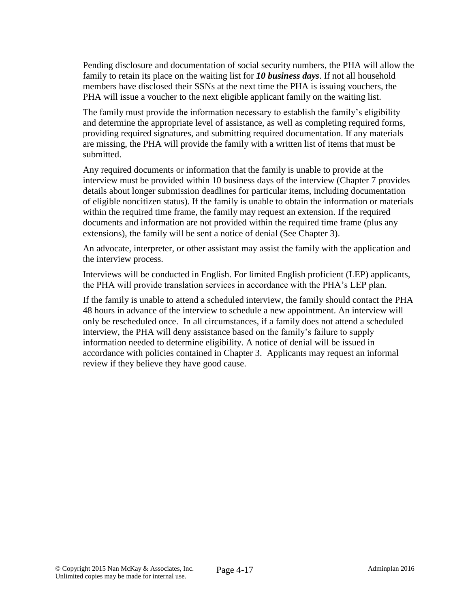Pending disclosure and documentation of social security numbers, the PHA will allow the family to retain its place on the waiting list for *10 business days*. If not all household members have disclosed their SSNs at the next time the PHA is issuing vouchers, the PHA will issue a voucher to the next eligible applicant family on the waiting list.

The family must provide the information necessary to establish the family's eligibility and determine the appropriate level of assistance, as well as completing required forms, providing required signatures, and submitting required documentation. If any materials are missing, the PHA will provide the family with a written list of items that must be submitted.

Any required documents or information that the family is unable to provide at the interview must be provided within 10 business days of the interview (Chapter 7 provides details about longer submission deadlines for particular items, including documentation of eligible noncitizen status). If the family is unable to obtain the information or materials within the required time frame, the family may request an extension. If the required documents and information are not provided within the required time frame (plus any extensions), the family will be sent a notice of denial (See Chapter 3).

An advocate, interpreter, or other assistant may assist the family with the application and the interview process.

Interviews will be conducted in English. For limited English proficient (LEP) applicants, the PHA will provide translation services in accordance with the PHA's LEP plan.

If the family is unable to attend a scheduled interview, the family should contact the PHA 48 hours in advance of the interview to schedule a new appointment. An interview will only be rescheduled once. In all circumstances, if a family does not attend a scheduled interview, the PHA will deny assistance based on the family's failure to supply information needed to determine eligibility. A notice of denial will be issued in accordance with policies contained in Chapter 3. Applicants may request an informal review if they believe they have good cause.